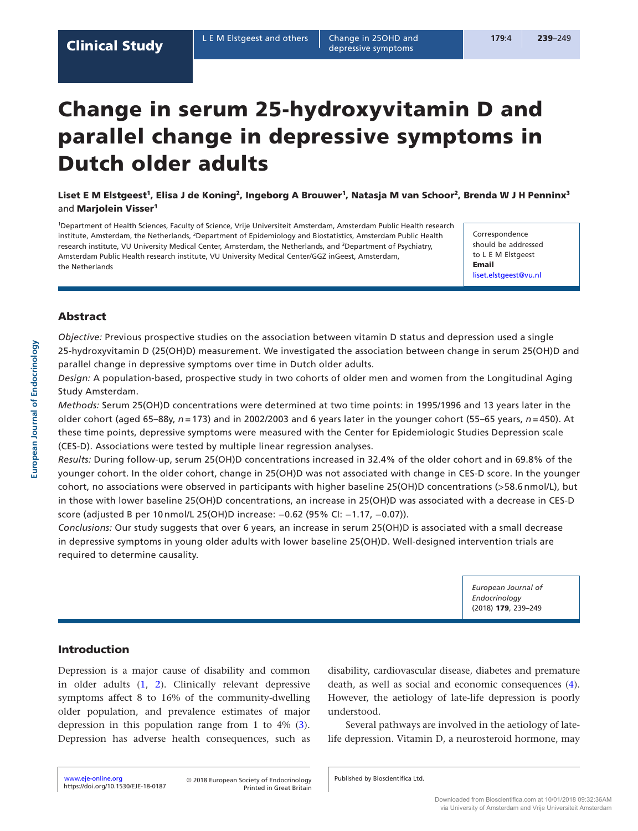# Change in serum 25-hydroxyvitamin D and parallel change in depressive symptoms in Dutch older adults

Liset E M Elstgeest<sup>1</sup>, Elisa J de Koning<sup>2</sup>, Ingeborg A Brouwer<sup>1</sup>, Natasja M van Schoor<sup>2</sup>, Brenda W J H Penninx<sup>3</sup> and Marjolein Visser<sup>1</sup>

1Department of Health Sciences, Faculty of Science, Vrije Universiteit Amsterdam, Amsterdam Public Health research institute, Amsterdam, the Netherlands, 2Department of Epidemiology and Biostatistics, Amsterdam Public Health research institute, VU University Medical Center, Amsterdam, the Netherlands, and 3Department of Psychiatry, Amsterdam Public Health research institute, VU University Medical Center/GGZ inGeest, Amsterdam, the Netherlands

Correspondence should be addressed to L E M Elstgeest Email [liset.elstgeest@vu.nl](mailto:liset.elstgeest@vu.nl)

# **Abstract**

*Objective:* Previous prospective studies on the association between vitamin D status and depression used a single 25-hydroxyvitamin D (25(OH)D) measurement. We investigated the association between change in serum 25(OH)D and parallel change in depressive symptoms over time in Dutch older adults.

*Design:* A population-based, prospective study in two cohorts of older men and women from the Longitudinal Aging Study Amsterdam.

*Methods:* Serum 25(OH)D concentrations were determined at two time points: in 1995/1996 and 13 years later in the older cohort (aged 65–88y, *n* = 173) and in 2002/2003 and 6 years later in the younger cohort (55–65 years, *n* = 450). At these time points, depressive symptoms were measured with the Center for Epidemiologic Studies Depression scale (CES-D). Associations were tested by multiple linear regression analyses.

*Results:* During follow-up, serum 25(OH)D concentrations increased in 32.4% of the older cohort and in 69.8% of the younger cohort. In the older cohort, change in 25(OH)D was not associated with change in CES-D score. In the younger cohort, no associations were observed in participants with higher baseline 25(OH)D concentrations (>58.6 nmol/L), but in those with lower baseline 25(OH)D concentrations, an increase in 25(OH)D was associated with a decrease in CES-D score (adjusted B per 10 nmol/L 25(OH)D increase: −0.62 (95% CI: −1.17, −0.07)).

*Conclusions:* Our study suggests that over 6 years, an increase in serum 25(OH)D is associated with a small decrease in depressive symptoms in young older adults with lower baseline 25(OH)D. Well-designed intervention trials are required to determine causality.

> *European Journal of Endocrinology*  (2018) 179, 239–249

## Introduction

Depression is a major cause of disability and common in older adults ([1](#page-8-0), [2](#page-8-1)). Clinically relevant depressive symptoms affect 8 to 16% of the community-dwelling older population, and prevalence estimates of major depression in this population range from 1 to 4% [\(3\)](#page-8-2). Depression has adverse health consequences, such as

disability, cardiovascular disease, diabetes and premature death, as well as social and economic consequences [\(4](#page-8-3)). However, the aetiology of late-life depression is poorly understood.

Several pathways are involved in the aetiology of latelife depression. Vitamin D, a neurosteroid hormone, may

<https://doi.org/10.1530/EJE-18-0187>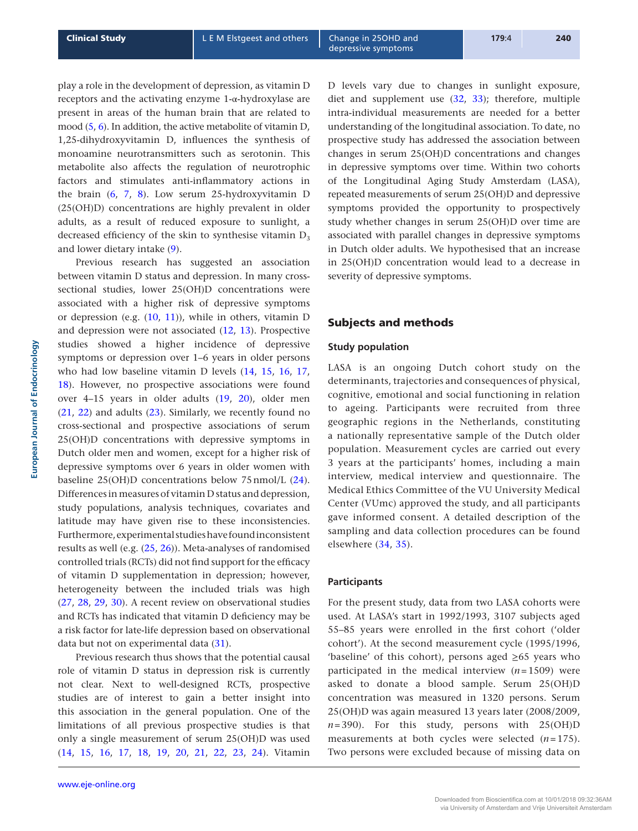play a role in the development of depression, as vitamin D receptors and the activating enzyme 1-α-hydroxylase are present in areas of the human brain that are related to mood [\(5](#page-8-4), [6\)](#page-9-0). In addition, the active metabolite of vitamin D, 1,25-dihydroxyvitamin D, influences the synthesis of monoamine neurotransmitters such as serotonin. This metabolite also affects the regulation of neurotrophic factors and stimulates anti-inflammatory actions in the brain [\(6](#page-9-0), [7](#page-9-1), [8\)](#page-9-2). Low serum 25-hydroxyvitamin D (25(OH)D) concentrations are highly prevalent in older adults, as a result of reduced exposure to sunlight, a decreased efficiency of the skin to synthesise vitamin  $D_3$ and lower dietary intake [\(9](#page-9-3)).

Previous research has suggested an association between vitamin D status and depression. In many crosssectional studies, lower 25(OH)D concentrations were associated with a higher risk of depressive symptoms or depression (e.g.  $(10, 11)$  $(10, 11)$  $(10, 11)$  $(10, 11)$ ), while in others, vitamin D and depression were not associated ([12](#page-9-6), [13\)](#page-9-7). Prospective studies showed a higher incidence of depressive symptoms or depression over 1–6 years in older persons who had low baseline vitamin D levels ([14](#page-9-8), [15,](#page-9-9) [16,](#page-9-10) [17,](#page-9-11) [18\)](#page-9-12). However, no prospective associations were found over 4–15 years in older adults [\(19](#page-9-13), [20](#page-9-14)), older men  $(21, 22)$  $(21, 22)$  $(21, 22)$  and adults  $(23)$ . Similarly, we recently found no cross-sectional and prospective associations of serum 25(OH)D concentrations with depressive symptoms in Dutch older men and women, except for a higher risk of depressive symptoms over 6 years in older women with baseline 25(OH)D concentrations below 75nmol/L [\(24](#page-9-18)). Differences in measures of vitamin D status and depression, study populations, analysis techniques, covariates and latitude may have given rise to these inconsistencies. Furthermore, experimental studies have found inconsistent results as well (e.g. ([25](#page-9-19), [26](#page-9-20))). Meta-analyses of randomised controlled trials (RCTs) did not find support for the efficacy of vitamin D supplementation in depression; however, heterogeneity between the included trials was high [\(27,](#page-9-21) [28,](#page-9-22) [29,](#page-9-23) [30](#page-9-24)). A recent review on observational studies and RCTs has indicated that vitamin D deficiency may be a risk factor for late-life depression based on observational data but not on experimental data [\(31](#page-9-25)).

Previous research thus shows that the potential causal role of vitamin D status in depression risk is currently not clear. Next to well-designed RCTs, prospective studies are of interest to gain a better insight into this association in the general population. One of the limitations of all previous prospective studies is that only a single measurement of serum 25(OH)D was used [\(14,](#page-9-8) [15,](#page-9-9) [16](#page-9-10), [17](#page-9-11), [18,](#page-9-12) [19,](#page-9-13) [20](#page-9-14), [21](#page-9-15), [22,](#page-9-16) [23,](#page-9-17) [24\)](#page-9-18). Vitamin

D levels vary due to changes in sunlight exposure, diet and supplement use ([32](#page-9-26), [33\)](#page-9-27); therefore, multiple intra-individual measurements are needed for a better understanding of the longitudinal association. To date, no prospective study has addressed the association between changes in serum 25(OH)D concentrations and changes in depressive symptoms over time. Within two cohorts of the Longitudinal Aging Study Amsterdam (LASA), repeated measurements of serum 25(OH)D and depressive symptoms provided the opportunity to prospectively study whether changes in serum 25(OH)D over time are associated with parallel changes in depressive symptoms in Dutch older adults. We hypothesised that an increase in 25(OH)D concentration would lead to a decrease in severity of depressive symptoms.

## Subjects and methods

## **Study population**

LASA is an ongoing Dutch cohort study on the determinants, trajectories and consequences of physical, cognitive, emotional and social functioning in relation to ageing. Participants were recruited from three geographic regions in the Netherlands, constituting a nationally representative sample of the Dutch older population. Measurement cycles are carried out every 3 years at the participants' homes, including a main interview, medical interview and questionnaire. The Medical Ethics Committee of the VU University Medical Center (VUmc) approved the study, and all participants gave informed consent. A detailed description of the sampling and data collection procedures can be found elsewhere ([34](#page-9-28), [35\)](#page-10-0).

#### **Participants**

For the present study, data from two LASA cohorts were used. At LASA's start in 1992/1993, 3107 subjects aged 55–85 years were enrolled in the first cohort ('older cohort'). At the second measurement cycle (1995/1996, 'baseline' of this cohort), persons aged  $\geq 65$  years who participated in the medical interview  $(n=1509)$  were asked to donate a blood sample. Serum 25(OH)D concentration was measured in 1320 persons. Serum 25(OH)D was again measured 13 years later (2008/2009,  $n=390$ ). For this study, persons with  $25(OH)D$ measurements at both cycles were selected (*n*=175). Two persons were excluded because of missing data on

**European Journal of Endocrinology**

European Journal of Endocrinology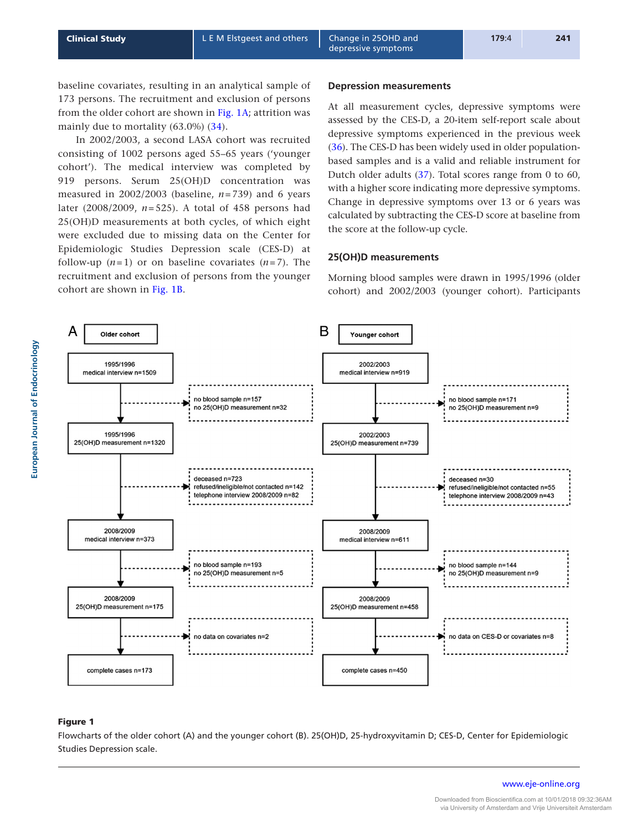<span id="page-2-0"></span>baseline covariates, resulting in an analytical sample of 173 persons. The recruitment and exclusion of persons from the older cohort are shown in Fig. 1A; attrition was mainly due to mortality (63.0%) [\(34](#page-9-28)).

In 2002/2003, a second LASA cohort was recruited consisting of 1002 persons aged 55–65 years ('younger cohort'). The medical interview was completed by 919 persons. Serum 25(OH)D concentration was measured in  $2002/2003$  (baseline,  $n = 739$ ) and 6 years later (2008/2009, *n*=525). A total of 458 persons had 25(OH)D measurements at both cycles, of which eight were excluded due to missing data on the Center for Epidemiologic Studies Depression scale (CES-D) at follow-up  $(n=1)$  or on baseline covariates  $(n=7)$ . The recruitment and exclusion of persons from the younger cohort are shown in Fig. 1B.

#### **Depression measurements**

At all measurement cycles, depressive symptoms were assessed by the CES-D, a 20-item self-report scale about depressive symptoms experienced in the previous week ([36](#page-10-1)). The CES-D has been widely used in older populationbased samples and is a valid and reliable instrument for Dutch older adults [\(37\)](#page-10-2). Total scores range from 0 to 60, with a higher score indicating more depressive symptoms. Change in depressive symptoms over 13 or 6 years was calculated by subtracting the CES-D score at baseline from the score at the follow-up cycle.

## **25(OH)D measurements**

Morning blood samples were drawn in 1995/1996 (older cohort) and 2002/2003 (younger cohort). Participants



## Figure 1

Flowcharts of the older cohort (A) and the younger cohort (B). 25(OH)D, 25-hydroxyvitamin D; CES-D, Center for Epidemiologic Studies Depression scale.

[www.eje-online.org](http://www.eje-online.org)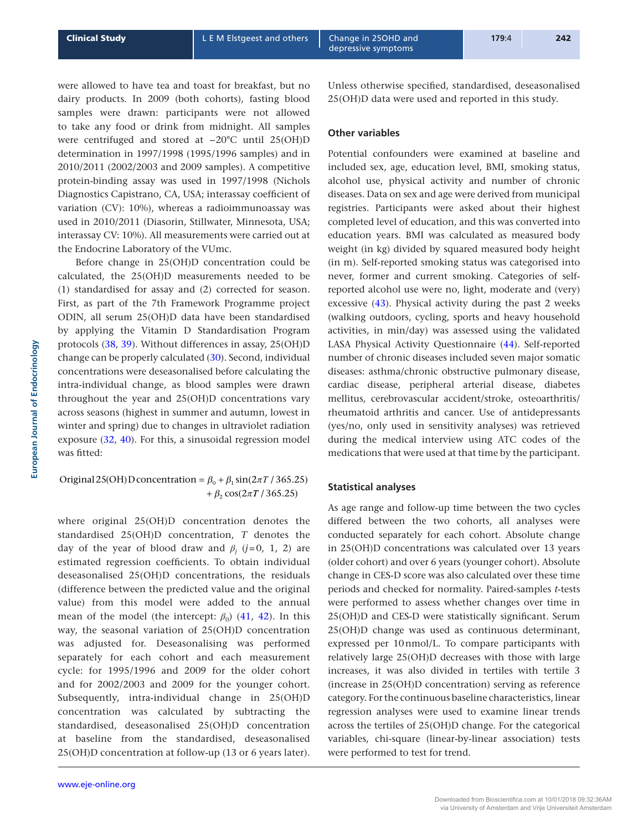were allowed to have tea and toast for breakfast, but no dairy products. In 2009 (both cohorts), fasting blood samples were drawn: participants were not allowed to take any food or drink from midnight. All samples were centrifuged and stored at −20°C until 25(OH)D determination in 1997/1998 (1995/1996 samples) and in 2010/2011 (2002/2003 and 2009 samples). A competitive protein-binding assay was used in 1997/1998 (Nichols Diagnostics Capistrano, CA, USA; interassay coefficient of variation (CV): 10%), whereas a radioimmunoassay was used in 2010/2011 (Diasorin, Stillwater, Minnesota, USA; interassay CV: 10%). All measurements were carried out at the Endocrine Laboratory of the VUmc.

Before change in 25(OH)D concentration could be calculated, the 25(OH)D measurements needed to be [\(1\)](#page-8-0) standardised for assay and ([2](#page-8-1)) corrected for season. First, as part of the 7th Framework Programme project ODIN, all serum 25(OH)D data have been standardised by applying the Vitamin D Standardisation Program protocols [\(38](#page-10-3), [39](#page-10-4)). Without differences in assay, 25(OH)D change can be properly calculated ([30\)](#page-9-24). Second, individual concentrations were deseasonalised before calculating the intra-individual change, as blood samples were drawn throughout the year and 25(OH)D concentrations vary across seasons (highest in summer and autumn, lowest in winter and spring) due to changes in ultraviolet radiation exposure ([32](#page-9-26), [40](#page-10-5)). For this, a sinusoidal regression model was fitted:

# Original 25(OH) D concentration =  $\beta_0 + \beta_1 \sin(2\pi T / 365.25)$  $+\beta_2 \cos(2\pi T / 365.25)$

where original 25(OH)D concentration denotes the standardised 25(OH)D concentration, *T* denotes the day of the year of blood draw and  $\beta_j$  ( $j=0, 1, 2$ ) are estimated regression coefficients. To obtain individual deseasonalised 25(OH)D concentrations, the residuals (difference between the predicted value and the original value) from this model were added to the annual mean of the model (the intercept:  $\beta_0$ ) [\(41,](#page-10-6) [42](#page-10-7)). In this way, the seasonal variation of 25(OH)D concentration was adjusted for. Deseasonalising was performed separately for each cohort and each measurement cycle: for 1995/1996 and 2009 for the older cohort and for 2002/2003 and 2009 for the younger cohort. Subsequently, intra-individual change in 25(OH)D concentration was calculated by subtracting the standardised, deseasonalised 25(OH)D concentration at baseline from the standardised, deseasonalised 25(OH)D concentration at follow-up (13 or 6 years later).

Unless otherwise specified, standardised, deseasonalised 25(OH)D data were used and reported in this study.

## **Other variables**

Potential confounders were examined at baseline and included sex, age, education level, BMI, smoking status, alcohol use, physical activity and number of chronic diseases. Data on sex and age were derived from municipal registries. Participants were asked about their highest completed level of education, and this was converted into education years. BMI was calculated as measured body weight (in kg) divided by squared measured body height (in m). Self-reported smoking status was categorised into never, former and current smoking. Categories of selfreported alcohol use were no, light, moderate and (very) excessive [\(43](#page-10-8)). Physical activity during the past 2 weeks (walking outdoors, cycling, sports and heavy household activities, in min/day) was assessed using the validated LASA Physical Activity Questionnaire ([44](#page-10-9)). Self-reported number of chronic diseases included seven major somatic diseases: asthma/chronic obstructive pulmonary disease, cardiac disease, peripheral arterial disease, diabetes mellitus, cerebrovascular accident/stroke, osteoarthritis/ rheumatoid arthritis and cancer. Use of antidepressants (yes/no, only used in sensitivity analyses) was retrieved during the medical interview using ATC codes of the medications that were used at that time by the participant.

#### **Statistical analyses**

As age range and follow-up time between the two cycles differed between the two cohorts, all analyses were conducted separately for each cohort. Absolute change in 25(OH)D concentrations was calculated over 13 years (older cohort) and over 6 years (younger cohort). Absolute change in CES-D score was also calculated over these time periods and checked for normality. Paired-samples *t*-tests were performed to assess whether changes over time in 25(OH)D and CES-D were statistically significant. Serum 25(OH)D change was used as continuous determinant, expressed per 10nmol/L. To compare participants with relatively large 25(OH)D decreases with those with large increases, it was also divided in tertiles with tertile 3 (increase in 25(OH)D concentration) serving as reference category. For the continuous baseline characteristics, linear regression analyses were used to examine linear trends across the tertiles of 25(OH)D change. For the categorical variables, chi-square (linear-by-linear association) tests were performed to test for trend.

**European Journal of Endocrinology**

European Journal of Endocrinology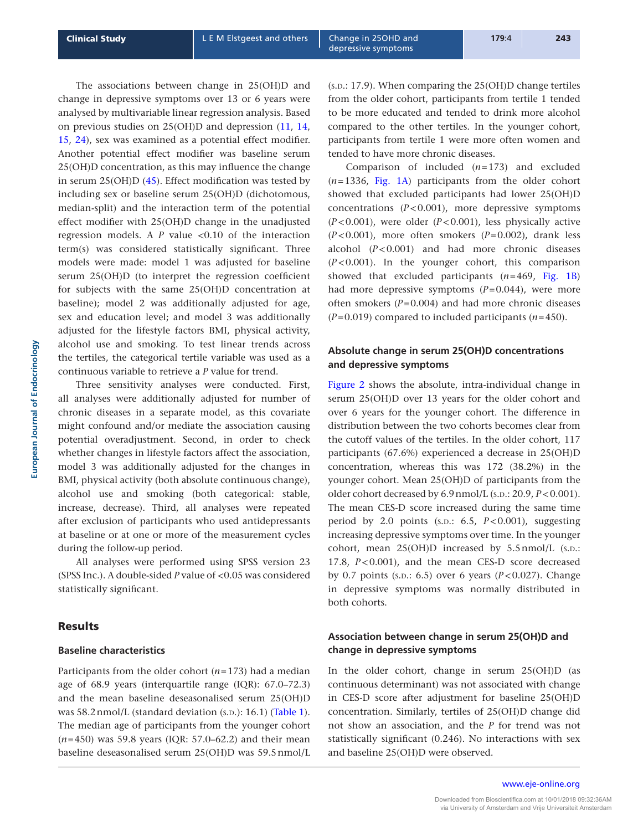The associations between change in 25(OH)D and change in depressive symptoms over 13 or 6 years were analysed by multivariable linear regression analysis. Based on previous studies on 25(OH)D and depression [\(11,](#page-9-5) [14,](#page-9-8) [15,](#page-9-9) [24](#page-9-18)), sex was examined as a potential effect modifier. Another potential effect modifier was baseline serum 25(OH)D concentration, as this may influence the change in serum 25(OH)D [\(45\)](#page-10-10). Effect modification was tested by including sex or baseline serum 25(OH)D (dichotomous, median-split) and the interaction term of the potential effect modifier with 25(OH)D change in the unadjusted regression models. A  $P$  value  $\lt 0.10$  of the interaction term(s) was considered statistically significant. Three models were made: model 1 was adjusted for baseline serum 25(OH)D (to interpret the regression coefficient for subjects with the same 25(OH)D concentration at baseline); model 2 was additionally adjusted for age, sex and education level; and model 3 was additionally adjusted for the lifestyle factors BMI, physical activity, alcohol use and smoking. To test linear trends across the tertiles, the categorical tertile variable was used as a continuous variable to retrieve a *P* value for trend.

Three sensitivity analyses were conducted. First, all analyses were additionally adjusted for number of chronic diseases in a separate model, as this covariate might confound and/or mediate the association causing potential overadjustment. Second, in order to check whether changes in lifestyle factors affect the association, model 3 was additionally adjusted for the changes in BMI, physical activity (both absolute continuous change), alcohol use and smoking (both categorical: stable, increase, decrease). Third, all analyses were repeated after exclusion of participants who used antidepressants at baseline or at one or more of the measurement cycles during the follow-up period.

All analyses were performed using SPSS version 23 (SPSS Inc.). A double-sided *P* value of <0.05 was considered statistically significant.

## **Results**

#### **Baseline characteristics**

Participants from the older cohort (*n*=173) had a median age of 68.9 years (interquartile range (IQR): 67.0–72.3) and the mean baseline deseasonalised serum 25(OH)D was  $58.2$ nmol/L (standard deviation (s.p.): 16.1) [\(Table 1\)](#page-5-0). The median age of participants from the younger cohort (*n*=450) was 59.8 years (IQR: 57.0–62.2) and their mean baseline deseasonalised serum 25(OH)D was 59.5nmol/L  $(s.D.: 17.9)$ . When comparing the  $25(OH)D$  change tertiles from the older cohort, participants from tertile 1 tended to be more educated and tended to drink more alcohol compared to the other tertiles. In the younger cohort, participants from tertile 1 were more often women and tended to have more chronic diseases.

Comparison of included (*n*=173) and excluded (*n*=1336, [Fig. 1A](#page-2-0)) participants from the older cohort showed that excluded participants had lower 25(OH)D concentrations  $(P<0.001)$ , more depressive symptoms (*P*<0.001), were older (*P*<0.001), less physically active (*P*<0.001), more often smokers (*P*=0.002), drank less alcohol (*P*<0.001) and had more chronic diseases (*P*<0.001). In the younger cohort, this comparison showed that excluded participants (*n*=469, [Fig. 1B](#page-2-0)) had more depressive symptoms (*P*=0.044), were more often smokers (*P*=0.004) and had more chronic diseases (*P*=0.019) compared to included participants (*n*=450).

## **Absolute change in serum 25(OH)D concentrations and depressive symptoms**

Figure 2 shows the absolute, intra-individual change in serum 25(OH)D over 13 years for the older cohort and over 6 years for the younger cohort. The difference in distribution between the two cohorts becomes clear from the cutoff values of the tertiles. In the older cohort, 117 participants (67.6%) experienced a decrease in 25(OH)D concentration, whereas this was 172 (38.2%) in the younger cohort. Mean 25(OH)D of participants from the older cohort decreased by 6.9 nmol/L (s.p.: 20.9, *P* < 0.001). The mean CES-D score increased during the same time period by 2.0 points  $(s.D.: 6.5, P<0.001)$ , suggesting increasing depressive symptoms over time. In the younger cohort, mean 25(OH)D increased by 5.5 nmol/L (s.D.: 17.8, *P*<0.001), and the mean CES-D score decreased by 0.7 points (s.p.: 6.5) over 6 years  $(P<0.027)$ . Change in depressive symptoms was normally distributed in both cohorts.

## **Association between change in serum 25(OH)D and change in depressive symptoms**

In the older cohort, change in serum 25(OH)D (as continuous determinant) was not associated with change in CES-D score after adjustment for baseline 25(OH)D concentration. Similarly, tertiles of 25(OH)D change did not show an association, and the *P* for trend was not statistically significant (0.246). No interactions with sex and baseline 25(OH)D were observed.

**European Journal of Endocrinology**

European Journal of Endocrinology

[www.eje-online.org](http://www.eje-online.org)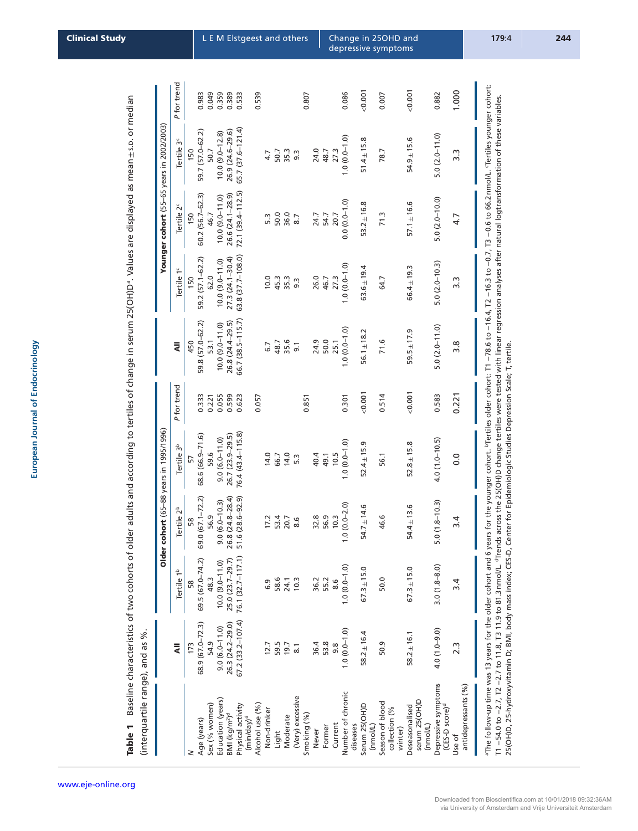<span id="page-5-0"></span>Table 1 Baseline characteristics of two cohorts of older adults and according to tertiles of change in serum 25(OH)D<sup>a</sup>. Values are displayed as mean ± s.p. or median ±s.d. or median ww.<br>Table 1 Baseline characteristics of two cohorts of older adults and according to tertiles of change in serum 25(OH)D<sup>a</sup>. Values are displayed as mean<br>Table 1 Baseline characteristics of two cohorts of older adults and (interquartile range), and as %.

|                                                   |                      |                        | Older coh                      | <b>ort</b> (65-88 years in 1995/1996) |             |                     |                        |                        | Younger cohort (55-65 years in 2002/2003) |            |
|---------------------------------------------------|----------------------|------------------------|--------------------------------|---------------------------------------|-------------|---------------------|------------------------|------------------------|-------------------------------------------|------------|
|                                                   | $\bar{a}$            | Tertile 1 <sup>b</sup> | Tertile 2 <sup>b</sup>         | Tertile 3 <sup>b</sup>                | P for trend | ₹                   | Tertile 1 <sup>c</sup> | Tertile 2 <sup>c</sup> | Tertile 3 <sup>c</sup>                    | Pfor trend |
|                                                   | 173                  | 58                     | 58                             | 57                                    |             | 450                 | 150                    | 150                    | 150                                       |            |
| Age (years)                                       | 68.9 (67.0-72.3)     | 69.5 (67.0-74.2)       | 69.0 (67.1-72.2)               | 68.6 (66.9-71.6)                      | 0.333       | 59.8 (57.0-62.2)    | 59.2 (57.1-62.2)       | 60.2 (56.7-62.3)       | 59.7 (57.0-62.2)                          | 0.983      |
| Sex (% women)                                     | 54.9                 | 48.3                   | 56.9                           | 59.6                                  | 0.221       | 53.1                | 62.0                   | 46.7                   | 50.7                                      | 0.049      |
| Education (years)                                 | $9.0(6.0 - 11.0)$    | $10.0 (9.0 - 11.0)$    | $9.0(6.0-10.3)$                | $9.0(6.0 - 11.0)$                     | 0.055       | $10.0 (9.0 - 11.0)$ | $10.0 (9.0 - 11.0)$    | $10.0 (9.0 - 11.0)$    | $10.0 (9.0 - 12.8)$                       | 0.359      |
| BMI (kg/m <sup>2</sup> ) <sup>d</sup>             | 26.3 (24.2-29.0)     | 25.0 (23.7-29.7)       | $(24.8 - 28.4)$<br>26.8        | 26.7 (23.9-29.5)                      | 0.599       | 26.8 (24.4-29.5)    | $27.3(24.1 - 30.4)$    | 26.6 (24.1-28.9)       | 26.9 (24.6-29.6)                          | 0.389      |
| Physical activity<br>(min/day) <sup>d</sup>       | $67.2(33.2 - 107.4)$ | 76.1 (32.7-117.1)      | $(28.6 - 92.9)$<br>51.6        | 76.4 (43.4-115.8)                     | 0.623       | 66.7 (38.5-115.7)   | 63.8 (37.7-108.0)      | $72.1(39.4 - 112.5)$   | 65.7 (37.6-121.4)                         | 0.533      |
| Alcohol use (%)                                   |                      |                        |                                |                                       | 0.057       |                     |                        |                        |                                           | 0.539      |
| Non-drinker                                       | 12.7                 | 6.3                    | 17.2                           | 14.0                                  |             | 6.7                 | 10.0                   | 5.3                    | 4.7                                       |            |
| Light                                             | 59.5                 | 58.6                   |                                | 66.7                                  |             | 48.7                | 45.3                   | 50.0                   |                                           |            |
| Moderate                                          | 19.7                 | 24.1                   | 53.4<br>20.7                   | 14.0                                  |             | 35.6                | 35.3                   | 36.0                   | 50.7<br>35.3                              |            |
| (Very) excessive                                  | $\overline{8}$ .     | 10.3                   | $\overline{8.6}$               | 5.3                                   |             | 9.1                 | $9.\overline{3}$       | 8.7                    | 9.3                                       |            |
| Smoking (%)                                       |                      |                        |                                |                                       | 0.851       |                     |                        |                        |                                           | 0.807      |
| Never                                             | 36.4                 | 36.2                   | 32.8                           | 40.4                                  |             | 24.9                | 26.0                   | 24.7                   | 24.0                                      |            |
| Former                                            | 53.8                 | 55.2                   | 56.9                           | 49.1                                  |             | 50.0                | 46.7                   | 54.7                   | 48.7                                      |            |
| Current                                           | 9.8                  | 8.6                    | 10.3                           | 10.5                                  |             | 25.1                | 27.3                   | 20.7                   | 27.3                                      |            |
| Number of chronic<br>diseases                     | $1.0(0.0 - 1.0)$     | $1.0(0.0 - 1.0)$       | $(0.0 - 2.0)$<br>$\frac{0}{1}$ | $1.0(0.0-1.0)$                        | 0.301       | $1.0(0.0-1.0)$      | $1.0(0.0 - 1.0)$       | $0.0(0.0-1.0)$         | $1.0(0.0-1.0)$                            | 0.086      |
|                                                   |                      |                        |                                |                                       |             |                     |                        |                        |                                           |            |
| Serum 25(OH)D<br>(nmol/L)                         | $58.2 \pm 16.4$      | $67.3 \pm 15.0$        | $.7 \pm 14.6$<br>24.           | $52.4 \pm 15.9$                       | 0.001       | $56.1 \pm 18.2$     | $63.6 \pm 19.4$        | $53.2 \pm 16.8$        | $51.4 \pm 15.8$                           | 0.001      |
| Season of blood<br>collection (%<br>winter)       | 50.9                 | 50.0                   | 46.6                           | 56.1                                  | 0.514       | 71.6                | 64.7                   | 71.3                   | 78.7                                      | 0.007      |
| serum 25(OH)D<br>Deseasonalised<br>(nmol/L)       | $58.2 \pm 16.1$      | $67.3 \pm 15.0$        | $54.4 \pm 13.6$                | $52.8 \pm 15.8$                       | 0.001       | $59.5 \pm 17.9$     | $66.4 \pm 19.3$        | $57.1 \pm 16.6$        | $54.9 \pm 15.6$                           | 0.001      |
| Depressive symptoms<br>(CES-D score) <sup>d</sup> | $4.0(1.0 - 9.0)$     | $3.0(1.8 - 8.0)$       | $(1.8 - 10.3)$<br>5.0          | $4.0(1.0-10.5)$                       | 0.583       | $5.0(2.0 - 11.0)$   | $5.0(2.0-10.3)$        | $5.0(2.0 - 10.0)$      | $5.0(2.0 - 11.0)$                         | 0.882      |
| antidepressants (%)<br>Use of                     | $2.\overline{3}$     | $\overline{3.4}$       | $\overline{3.4}$               | $\overline{0}$ .                      | 0.221       | $\frac{8}{3}$       | 3.3                    | 4.7                    | 3.3                                       | 1.000      |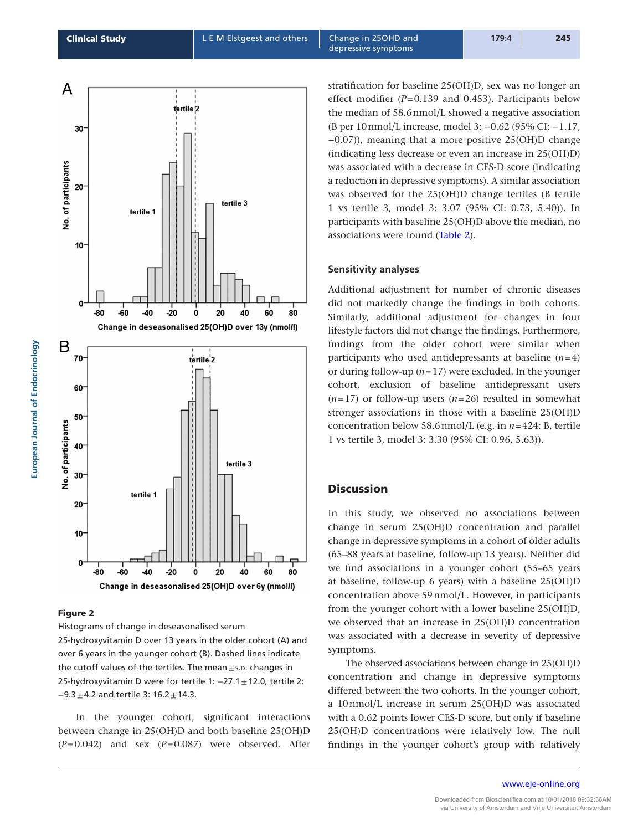<span id="page-6-0"></span>

## Figure 2

Histograms of change in deseasonalised serum 25-hydroxyvitamin D over 13 years in the older cohort (A) and over 6 years in the younger cohort (B). Dashed lines indicate the cutoff values of the tertiles. The mean $\pm$ s.p. changes in 25-hydroxyvitamin D were for tertile 1: −27.1±12.0, tertile 2:  $-9.3 \pm 4.2$  and tertile 3: 16.2  $\pm$  14.3.

In the younger cohort, significant interactions between change in 25(OH)D and both baseline 25(OH)D (*P*=0.042) and sex (*P*=0.087) were observed. After stratification for baseline 25(OH)D, sex was no longer an effect modifier (*P*=0.139 and 0.453). Participants below the median of 58.6nmol/L showed a negative association (B per 10nmol/L increase, model 3: −0.62 (95% CI: −1.17, −0.07)), meaning that a more positive 25(OH)D change (indicating less decrease or even an increase in 25(OH)D) was associated with a decrease in CES-D score (indicating a reduction in depressive symptoms). A similar association was observed for the 25(OH)D change tertiles (B tertile 1 vs tertile 3, model 3: 3.07 (95% CI: 0.73, 5.40)). In participants with baseline 25(OH)D above the median, no associations were found [\(Table 2\)](#page-7-0).

#### **Sensitivity analyses**

Additional adjustment for number of chronic diseases did not markedly change the findings in both cohorts. Similarly, additional adjustment for changes in four lifestyle factors did not change the findings. Furthermore, findings from the older cohort were similar when participants who used antidepressants at baseline (*n*=4) or during follow-up (*n*=17) were excluded. In the younger cohort, exclusion of baseline antidepressant users (*n*=17) or follow-up users (*n*=26) resulted in somewhat stronger associations in those with a baseline 25(OH)D concentration below 58.6nmol/L (e.g. in *n*=424: B, tertile 1 vs tertile 3, model 3: 3.30 (95% CI: 0.96, 5.63)).

## **Discussion**

In this study, we observed no associations between change in serum 25(OH)D concentration and parallel change in depressive symptoms in a cohort of older adults (65–88 years at baseline, follow-up 13 years). Neither did we find associations in a younger cohort (55–65 years at baseline, follow-up 6 years) with a baseline 25(OH)D concentration above 59nmol/L. However, in participants from the younger cohort with a lower baseline 25(OH)D, we observed that an increase in 25(OH)D concentration was associated with a decrease in severity of depressive symptoms.

The observed associations between change in 25(OH)D concentration and change in depressive symptoms differed between the two cohorts. In the younger cohort, a 10nmol/L increase in serum 25(OH)D was associated with a 0.62 points lower CES-D score, but only if baseline 25(OH)D concentrations were relatively low. The null findings in the younger cohort's group with relatively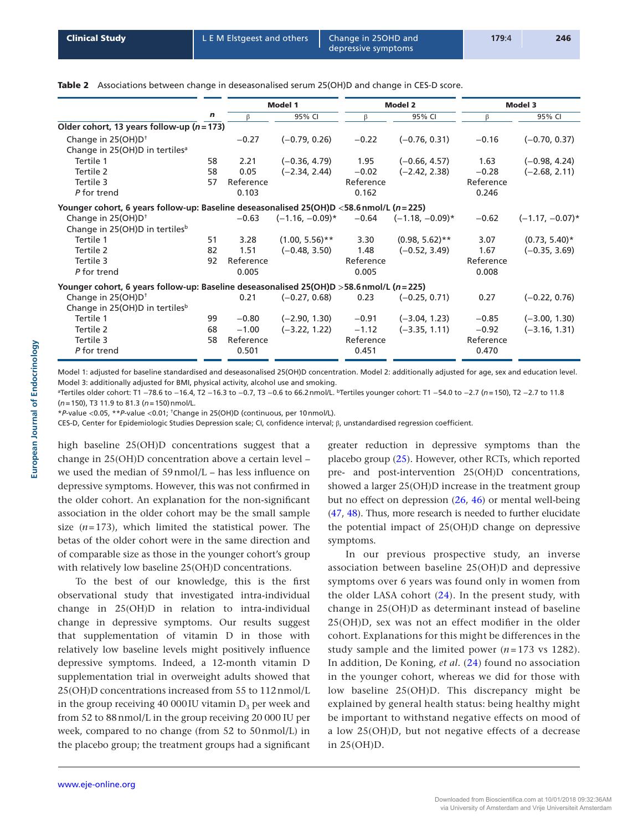<span id="page-7-0"></span>Table 2 Associations between change in deseasonalised serum 25(OH)D and change in CES-D score.

|                                                                                             |    | Model 1   |                    | Model 2   |                    | Model 3   |                    |
|---------------------------------------------------------------------------------------------|----|-----------|--------------------|-----------|--------------------|-----------|--------------------|
|                                                                                             | n  | ß         | 95% CI             | β         | 95% CI             | β         | 95% CI             |
| Older cohort, 13 years follow-up ( $n = 173$ )                                              |    |           |                    |           |                    |           |                    |
| Change in $25(OH)D†$                                                                        |    | $-0.27$   | $(-0.79, 0.26)$    | $-0.22$   | $(-0.76, 0.31)$    | $-0.16$   | $(-0.70, 0.37)$    |
| Change in 25(OH)D in tertiles <sup>a</sup>                                                  |    |           |                    |           |                    |           |                    |
| Tertile 1                                                                                   | 58 | 2.21      | $(-0.36, 4.79)$    | 1.95      | $(-0.66, 4.57)$    | 1.63      | $(-0.98, 4.24)$    |
| Tertile 2                                                                                   | 58 | 0.05      | $(-2.34, 2.44)$    | $-0.02$   | $(-2.42, 2.38)$    | $-0.28$   | $(-2.68, 2.11)$    |
| Tertile 3                                                                                   | 57 | Reference |                    | Reference |                    | Reference |                    |
| P for trend                                                                                 |    | 0.103     |                    | 0.162     |                    | 0.246     |                    |
| Younger cohort, 6 years follow-up: Baseline deseasonalised 25(OH)D <58.6 nmol/L ( $n=225$ ) |    |           |                    |           |                    |           |                    |
| Change in 25(OH)D <sup>+</sup>                                                              |    | $-0.63$   | $(-1.16, -0.09)^*$ | $-0.64$   | $(-1.18, -0.09)^*$ | $-0.62$   | $(-1.17, -0.07)^*$ |
| Change in 25(OH)D in tertiles <sup>b</sup>                                                  |    |           |                    |           |                    |           |                    |
| Tertile 1                                                                                   | 51 | 3.28      | $(1.00, 5.56)$ **  | 3.30      | $(0.98, 5.62)$ **  | 3.07      | $(0.73, 5.40)^*$   |
| Tertile 2                                                                                   | 82 | 1.51      | $(-0.48, 3.50)$    | 1.48      | $(-0.52, 3.49)$    | 1.67      | $(-0.35, 3.69)$    |
| Tertile 3                                                                                   | 92 | Reference |                    | Reference |                    | Reference |                    |
| P for trend                                                                                 |    | 0.005     |                    | 0.005     |                    | 0.008     |                    |
| Younger cohort, 6 years follow-up: Baseline deseasonalised 25(OH)D >58.6 nmol/L (n=225)     |    |           |                    |           |                    |           |                    |
| Change in 25(OH)D <sup>+</sup>                                                              |    | 0.21      | $(-0.27, 0.68)$    | 0.23      | $(-0.25, 0.71)$    | 0.27      | $(-0.22, 0.76)$    |
| Change in 25(OH)D in tertiles <sup>b</sup>                                                  |    |           |                    |           |                    |           |                    |
| Tertile 1                                                                                   | 99 | $-0.80$   | $(-2.90, 1.30)$    | $-0.91$   | $(-3.04, 1.23)$    | $-0.85$   | $(-3.00, 1.30)$    |
| Tertile 2                                                                                   | 68 | $-1.00$   | $(-3.22, 1.22)$    | $-1.12$   | $(-3.35, 1.11)$    | $-0.92$   | $(-3.16, 1.31)$    |
| Tertile 3                                                                                   | 58 | Reference |                    | Reference |                    | Reference |                    |
| P for trend                                                                                 |    | 0.501     |                    | 0.451     |                    | 0.470     |                    |
|                                                                                             |    |           |                    |           |                    |           |                    |

Model 1: adjusted for baseline standardised and deseasonalised 25(OH)D concentration. Model 2: additionally adjusted for age, sex and education level. Model 3: additionally adjusted for BMI, physical activity, alcohol use and smoking.

aTertiles older cohort: T1 −78.6 to −16.4, T2 −16.3 to −0.7, T3 −0.6 to 66.2nmol/L. bTertiles younger cohort: T1 −54.0 to −2.7 (*n*=150), T2 −2.7 to 11.8 (*n*=150), T3 11.9 to 81.3 (*n*=150)nmol/L.

\**P*-value <0.05, \*\**P*-value <0.01; †Change in 25(OH)D (continuous, per 10nmol/L).

CES-D, Center for Epidemiologic Studies Depression scale; CI, confidence interval; β, unstandardised regression coefficient.

high baseline 25(OH)D concentrations suggest that a change in 25(OH)D concentration above a certain level – we used the median of 59nmol/L – has less influence on depressive symptoms. However, this was not confirmed in the older cohort. An explanation for the non-significant association in the older cohort may be the small sample size  $(n=173)$ , which limited the statistical power. The betas of the older cohort were in the same direction and of comparable size as those in the younger cohort's group with relatively low baseline 25(OH)D concentrations.

To the best of our knowledge, this is the first observational study that investigated intra-individual change in 25(OH)D in relation to intra-individual change in depressive symptoms. Our results suggest that supplementation of vitamin D in those with relatively low baseline levels might positively influence depressive symptoms. Indeed, a 12-month vitamin D supplementation trial in overweight adults showed that 25(OH)D concentrations increased from 55 to 112nmol/L in the group receiving 40 000 IU vitamin  $D_3$  per week and from 52 to 88nmol/L in the group receiving 20 000 IU per week, compared to no change (from 52 to 50nmol/L) in the placebo group; the treatment groups had a significant

greater reduction in depressive symptoms than the placebo group [\(25\)](#page-9-19). However, other RCTs, which reported pre- and post-intervention 25(OH)D concentrations, showed a larger 25(OH)D increase in the treatment group but no effect on depression ([26,](#page-9-20) [46\)](#page-10-11) or mental well-being [\(47](#page-10-12), [48\)](#page-10-13). Thus, more research is needed to further elucidate the potential impact of 25(OH)D change on depressive symptoms.

In our previous prospective study, an inverse association between baseline 25(OH)D and depressive symptoms over 6 years was found only in women from the older LASA cohort  $(24)$  $(24)$  $(24)$ . In the present study, with change in 25(OH)D as determinant instead of baseline 25(OH)D, sex was not an effect modifier in the older cohort. Explanations for this might be differences in the study sample and the limited power  $(n=173 \text{ vs } 1282)$ . In addition, De Koning*, et al.* [\(24\)](#page-9-18) found no association in the younger cohort, whereas we did for those with low baseline 25(OH)D. This discrepancy might be explained by general health status: being healthy might be important to withstand negative effects on mood of a low 25(OH)D, but not negative effects of a decrease in 25(OH)D.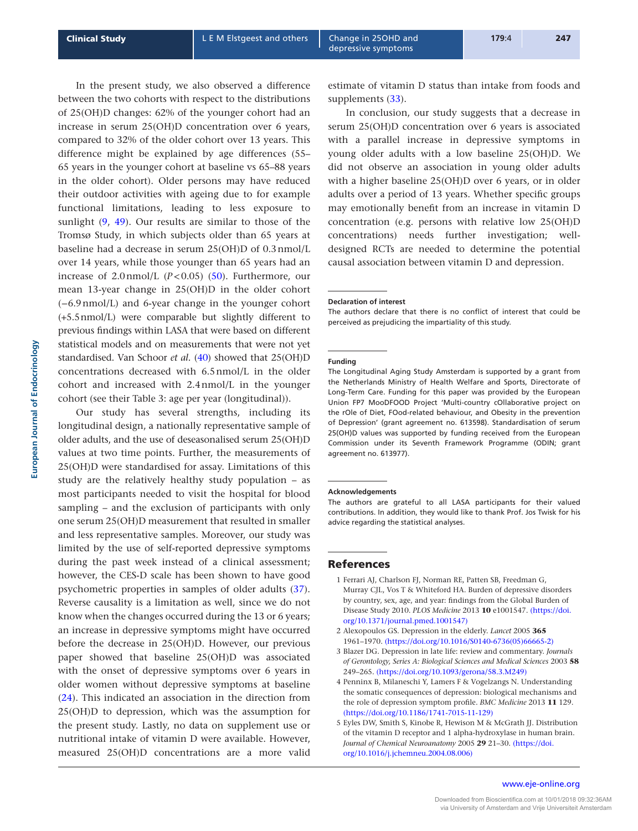In the present study, we also observed a difference between the two cohorts with respect to the distributions of 25(OH)D changes: 62% of the younger cohort had an increase in serum 25(OH)D concentration over 6 years, compared to 32% of the older cohort over 13 years. This difference might be explained by age differences (55– 65 years in the younger cohort at baseline vs 65–88 years in the older cohort). Older persons may have reduced their outdoor activities with ageing due to for example functional limitations, leading to less exposure to sunlight ([9,](#page-9-3) [49\)](#page-10-14). Our results are similar to those of the Tromsø Study, in which subjects older than 65 years at baseline had a decrease in serum 25(OH)D of 0.3nmol/L over 14 years, while those younger than 65 years had an increase of  $2.0$ nmol/L  $(P<0.05)$  ([50](#page-10-15)). Furthermore, our mean 13-year change in 25(OH)D in the older cohort (−6.9nmol/L) and 6-year change in the younger cohort (+5.5nmol/L) were comparable but slightly different to previous findings within LASA that were based on different statistical models and on measurements that were not yet standardised. Van Schoor *et al.* ([40\)](#page-10-5) showed that 25(OH)D concentrations decreased with 6.5nmol/L in the older cohort and increased with 2.4nmol/L in the younger cohort (see their Table 3: age per year (longitudinal)).

Our study has several strengths, including its longitudinal design, a nationally representative sample of older adults, and the use of deseasonalised serum 25(OH)D values at two time points. Further, the measurements of 25(OH)D were standardised for assay. Limitations of this study are the relatively healthy study population – as most participants needed to visit the hospital for blood sampling – and the exclusion of participants with only one serum 25(OH)D measurement that resulted in smaller and less representative samples. Moreover, our study was limited by the use of self-reported depressive symptoms during the past week instead of a clinical assessment; however, the CES-D scale has been shown to have good psychometric properties in samples of older adults [\(37\)](#page-10-2). Reverse causality is a limitation as well, since we do not know when the changes occurred during the 13 or 6 years; an increase in depressive symptoms might have occurred before the decrease in 25(OH)D. However, our previous paper showed that baseline 25(OH)D was associated with the onset of depressive symptoms over 6 years in older women without depressive symptoms at baseline ([24\)](#page-9-18). This indicated an association in the direction from 25(OH)D to depression, which was the assumption for the present study. Lastly, no data on supplement use or nutritional intake of vitamin D were available. However, measured 25(OH)D concentrations are a more valid

estimate of vitamin D status than intake from foods and supplements [\(33\)](#page-9-27).

In conclusion, our study suggests that a decrease in serum 25(OH)D concentration over 6 years is associated with a parallel increase in depressive symptoms in young older adults with a low baseline 25(OH)D. We did not observe an association in young older adults with a higher baseline 25(OH)D over 6 years, or in older adults over a period of 13 years. Whether specific groups may emotionally benefit from an increase in vitamin D concentration (e.g. persons with relative low 25(OH)D concentrations) needs further investigation; welldesigned RCTs are needed to determine the potential causal association between vitamin D and depression.

#### **Declaration of interest**

The authors declare that there is no conflict of interest that could be perceived as prejudicing the impartiality of this study.

#### **Funding**

The Longitudinal Aging Study Amsterdam is supported by a grant from the Netherlands Ministry of Health Welfare and Sports, Directorate of Long-Term Care. Funding for this paper was provided by the European Union FP7 MooDFOOD Project 'Multi-country cOllaborative project on the rOle of Diet, FOod-related behaviour, and Obesity in the prevention of Depression' (grant agreement no. 613598). Standardisation of serum 25(OH)D values was supported by funding received from the European Commission under its Seventh Framework Programme (ODIN; grant agreement no. 613977).

#### **Acknowledgements**

The authors are grateful to all LASA participants for their valued contributions. In addition, they would like to thank Prof. Jos Twisk for his advice regarding the statistical analyses.

#### References

- <span id="page-8-0"></span>1 Ferrari AJ, Charlson FJ, Norman RE, Patten SB, Freedman G, Murray CJL, Vos T & Whiteford HA. Burden of depressive disorders by country, sex, age, and year: findings from the Global Burden of Disease Study 2010. *PLOS Medicine* 2013 **10** e1001547. [\(https://doi.](https://doi.org/10.1371/journal.pmed.1001547) [org/10.1371/journal.pmed.1001547\)](https://doi.org/10.1371/journal.pmed.1001547)
- <span id="page-8-1"></span>2 Alexopoulos GS. Depression in the elderly. *Lancet* 2005 **365** 1961–1970. [\(https://doi.org/10.1016/S0140-6736\(05\)66665-2\)](https://doi.org/10.1016/S0140-6736(05)66665-2)
- <span id="page-8-2"></span>3 Blazer DG. Depression in late life: review and commentary. *Journals of Gerontology, Series A: Biological Sciences and Medical Sciences* 2003 **58** 249–265. [\(https://doi.org/10.1093/gerona/58.3.M249\)](https://doi.org/10.1093/gerona/58.3.M249)
- <span id="page-8-3"></span>4 Penninx B, Milaneschi Y, Lamers F & Vogelzangs N. Understanding the somatic consequences of depression: biological mechanisms and the role of depression symptom profile. *BMC Medicine* 2013 **11** 129. [\(https://doi.org/10.1186/1741-7015-11-129\)](https://doi.org/10.1186/1741-7015-11-129)
- <span id="page-8-4"></span>5 Eyles DW, Smith S, Kinobe R, Hewison M & McGrath JJ. Distribution of the vitamin D receptor and 1 alpha-hydroxylase in human brain. *Journal of Chemical Neuroanatomy* 2005 **29** 21–30. [\(https://doi.](https://doi.org/10.1016/j.jchemneu.2004.08.006) [org/10.1016/j.jchemneu.2004.08.006\)](https://doi.org/10.1016/j.jchemneu.2004.08.006)

Downloaded from Bioscientifica.com at 10/01/2018 09:32:36AM via University of Amsterdam and Vrije Universiteit Amsterdam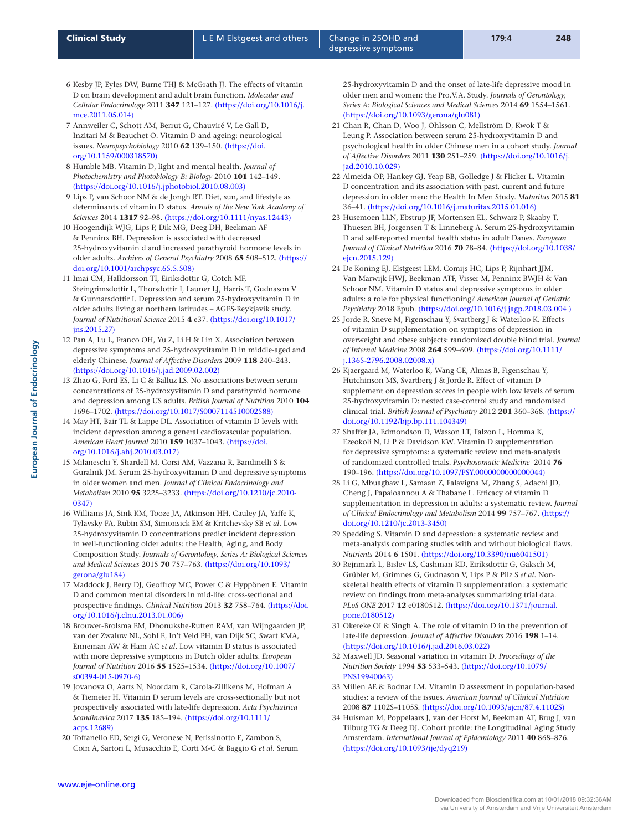- <span id="page-9-0"></span>6 Kesby JP, Eyles DW, Burne THJ & McGrath JJ. The effects of vitamin D on brain development and adult brain function. *Molecular and Cellular Endocrinology* 2011 **347** 121–127. [\(https://doi.org/10.1016/j.](https://doi.org/10.1016/j.mce.2011.05.014) [mce.2011.05.014\)](https://doi.org/10.1016/j.mce.2011.05.014)
- <span id="page-9-1"></span>7 Annweiler C, Schott AM, Berrut G, Chauviré V, Le Gall D, Inzitari M & Beauchet O. Vitamin D and ageing: neurological issues. *Neuropsychobiology* 2010 **62** 139–150. [\(https://doi.](https://doi.org/10.1159/000318570) [org/10.1159/000318570\)](https://doi.org/10.1159/000318570)
- <span id="page-9-2"></span>8 Humble MB. Vitamin D, light and mental health. *Journal of Photochemistry and Photobiology B: Biology* 2010 **101** 142–149. [\(https://doi.org/10.1016/j.jphotobiol.2010.08.003\)](https://doi.org/10.1016/j.jphotobiol.2010.08.003)
- <span id="page-9-3"></span>9 Lips P, van Schoor NM & de Jongh RT. Diet, sun, and lifestyle as determinants of vitamin D status. *Annals of the New York Academy of Sciences* 2014 **1317** 92–98. [\(https://doi.org/10.1111/nyas.12443\)](https://doi.org/10.1111/nyas.12443)
- <span id="page-9-4"></span>10 Hoogendijk WJG, Lips P, Dik MG, Deeg DH, Beekman AF & Penninx BH. Depression is associated with decreased 25-hydroxyvitamin d and increased parathyroid hormone levels in older adults. *Archives of General Psychiatry* 2008 **65** 508–512. [\(https://](https://doi.org/10.1001/archpsyc.65.5.508) [doi.org/10.1001/archpsyc.65.5.508\)](https://doi.org/10.1001/archpsyc.65.5.508)
- <span id="page-9-5"></span>11 Imai CM, Halldorsson TI, Eiriksdottir G, Cotch MF, Steingrimsdottir L, Thorsdottir I, Launer LJ, Harris T, Gudnason V & Gunnarsdottir I. Depression and serum 25-hydroxyvitamin D in older adults living at northern latitudes – AGES-Reykjavik study. *Journal of Nutritional Science* 2015 **4** e37. [\(https://doi.org/10.1017/](https://doi.org/10.1017/jns.2015.27) [jns.2015.27\)](https://doi.org/10.1017/jns.2015.27)
- <span id="page-9-6"></span>12 Pan A, Lu L, Franco OH, Yu Z, Li H & Lin X. Association between depressive symptoms and 25-hydroxyvitamin D in middle-aged and elderly Chinese. *Journal of Affective Disorders* 2009 **118** 240–243. [\(https://doi.org/10.1016/j.jad.2009.02.002\)](https://doi.org/10.1016/j.jad.2009.02.002)
- <span id="page-9-7"></span>13 Zhao G, Ford ES, Li C & Balluz LS. No associations between serum concentrations of 25-hydroxyvitamin D and parathyroid hormone and depression among US adults. *British Journal of Nutrition* 2010 **104** 1696–1702. [\(https://doi.org/10.1017/S0007114510002588\)](https://doi.org/10.1017/S0007114510002588)
- <span id="page-9-8"></span>14 May HT, Bair TL & Lappe DL. Association of vitamin D levels with incident depression among a general cardiovascular population. *American Heart Journal* 2010 **159** 1037–1043. [\(https://doi.](https://doi.org/10.1016/j.ahj.2010.03.017) [org/10.1016/j.ahj.2010.03.017\)](https://doi.org/10.1016/j.ahj.2010.03.017)
- <span id="page-9-9"></span>15 Milaneschi Y, Shardell M, Corsi AM, Vazzana R, Bandinelli S & Guralnik JM. Serum 25-hydroxyvitamin D and depressive symptoms in older women and men. *Journal of Clinical Endocrinology and Metabolism* 2010 **95** 3225–3233. [\(https://doi.org/10.1210/jc.2010-](https://doi.org/10.1210/jc.2010-0347) [0347\)](https://doi.org/10.1210/jc.2010-0347)
- <span id="page-9-10"></span>16 Williams JA, Sink KM, Tooze JA, Atkinson HH, Cauley JA, Yaffe K, Tylavsky FA, Rubin SM, Simonsick EM & Kritchevsky SB *et al.* Low 25-hydroxyvitamin D concentrations predict incident depression in well-functioning older adults: the Health, Aging, and Body Composition Study. *Journals of Gerontology, Series A: Biological Sciences and Medical Sciences* 2015 **70** 757–763. [\(https://doi.org/10.1093/](https://doi.org/10.1093/gerona/glu184) [gerona/glu184\)](https://doi.org/10.1093/gerona/glu184)
- <span id="page-9-11"></span>17 Maddock J, Berry DJ, Geoffroy MC, Power C & Hyppönen E. Vitamin D and common mental disorders in mid-life: cross-sectional and prospective findings. *Clinical Nutrition* 2013 **32** 758–764. [\(https://doi.](https://doi.org/10.1016/j.clnu.2013.01.006) [org/10.1016/j.clnu.2013.01.006\)](https://doi.org/10.1016/j.clnu.2013.01.006)
- <span id="page-9-12"></span>18 Brouwer-Brolsma EM, Dhonukshe-Rutten RAM, van Wijngaarden JP, van der Zwaluw NL, Sohl E, In't Veld PH, van Dijk SC, Swart KMA, Enneman AW & Ham AC *et al.* Low vitamin D status is associated with more depressive symptoms in Dutch older adults. *European Journal of Nutrition* 2016 **55** 1525–1534. [\(https://doi.org/10.1007/](https://doi.org/10.1007/s00394-015-0970-6) [s00394-015-0970-6\)](https://doi.org/10.1007/s00394-015-0970-6)
- <span id="page-9-13"></span>19 Jovanova O, Aarts N, Noordam R, Carola-Zillikens M, Hofman A & Tiemeier H. Vitamin D serum levels are cross-sectionally but not prospectively associated with late-life depression. *Acta Psychiatrica Scandinavica* 2017 **135** 185–194. [\(https://doi.org/10.1111/](https://doi.org/10.1111/acps.12689) [acps.12689\)](https://doi.org/10.1111/acps.12689)
- <span id="page-9-14"></span>20 Toffanello ED, Sergi G, Veronese N, Perissinotto E, Zambon S, Coin A, Sartori L, Musacchio E, Corti M-C & Baggio G *et al.* Serum

25-hydroxyvitamin D and the onset of late-life depressive mood in older men and women: the Pro.V.A. Study. *Journals of Gerontology, Series A: Biological Sciences and Medical Sciences* 2014 **69** 1554–1561. [\(https://doi.org/10.1093/gerona/glu081\)](https://doi.org/10.1093/gerona/glu081)

- <span id="page-9-15"></span>21 Chan R, Chan D, Woo J, Ohlsson C, Mellström D, Kwok T & Leung P. Association between serum 25-hydroxyvitamin D and psychological health in older Chinese men in a cohort study. *Journal of Affective Disorders* 2011 **130** 251–259. [\(https://doi.org/10.1016/j.](https://doi.org/10.1016/j.jad.2010.10.029) [jad.2010.10.029\)](https://doi.org/10.1016/j.jad.2010.10.029)
- <span id="page-9-16"></span>22 Almeida OP, Hankey GJ, Yeap BB, Golledge J & Flicker L. Vitamin D concentration and its association with past, current and future depression in older men: the Health In Men Study. *Maturitas* 2015 **81** 36–41. [\(https://doi.org/10.1016/j.maturitas.2015.01.016\)](https://doi.org/10.1016/j.maturitas.2015.01.016)
- <span id="page-9-17"></span>23 Husemoen LLN, Ebstrup JF, Mortensen EL, Schwarz P, Skaaby T, Thuesen BH, Jorgensen T & Linneberg A. Serum 25-hydroxyvitamin D and self-reported mental health status in adult Danes. *European Journal of Clinical Nutrition* 2016 **70** 78–84. [\(https://doi.org/10.1038/](https://doi.org/10.1038/ejcn.2015.129) eicn.2015.129)
- <span id="page-9-18"></span>24 De Koning EJ, Elstgeest LEM, Comijs HC, Lips P, Rijnhart JJM, Van Marwijk HWJ, Beekman ATF, Visser M, Penninx BWJH & Van Schoor NM. Vitamin D status and depressive symptoms in older adults: a role for physical functioning? *American Journal of Geriatric Psychiatry* 2018 Epub. [\(https://doi.org/10.1016/j.jagp.2018.03.004 \)](https://doi.org/10.1016/j.jagp.2018.03.004 )
- <span id="page-9-19"></span>25 Jorde R, Sneve M, Figenschau Y, Svartberg J & Waterloo K. Effects of vitamin D supplementation on symptoms of depression in overweight and obese subjects: randomized double blind trial. *Journal of Internal Medicine* 2008 **264** 599–609. [\(https://doi.org/10.1111/](https://doi.org/10.1111/j.1365-2796.2008.02008.x) [j.1365-2796.2008.02008.x\)](https://doi.org/10.1111/j.1365-2796.2008.02008.x)
- <span id="page-9-20"></span>26 Kjaergaard M, Waterloo K, Wang CE, Almas B, Figenschau Y, Hutchinson MS, Svartberg J & Jorde R. Effect of vitamin D supplement on depression scores in people with low levels of serum 25-hydroxyvitamin D: nested case-control study and randomised clinical trial. *British Journal of Psychiatry* 2012 **201** 360–368. [\(https://](https://doi.org/10.1192/bjp.bp.111.104349) [doi.org/10.1192/bjp.bp.111.104349\)](https://doi.org/10.1192/bjp.bp.111.104349)
- <span id="page-9-21"></span>27 Shaffer JA, Edmondson D, Wasson LT, Falzon L, Homma K, Ezeokoli N, Li P & Davidson KW. Vitamin D supplementation for depressive symptoms: a systematic review and meta-analysis of randomized controlled trials. *Psychosomatic Medicine* 2014 **76** 190–196. [\(https://doi.org/10.1097/PSY.0000000000000044\)](https://doi.org/10.1097/PSY.0000000000000044)
- <span id="page-9-22"></span>28 Li G, Mbuagbaw L, Samaan Z, Falavigna M, Zhang S, Adachi JD, Cheng J, Papaioannou A & Thabane L. Efficacy of vitamin D supplementation in depression in adults: a systematic review. *Journal of Clinical Endocrinology and Metabolism* 2014 **99** 757–767. [\(https://](https://doi.org/10.1210/jc.2013-3450) [doi.org/10.1210/jc.2013-3450\)](https://doi.org/10.1210/jc.2013-3450)
- <span id="page-9-23"></span>29 Spedding S. Vitamin D and depression: a systematic review and meta-analysis comparing studies with and without biological flaws. *Nutrients* 2014 **6** 1501. [\(https://doi.org/10.3390/nu6041501\)](https://doi.org/10.3390/nu6041501)
- <span id="page-9-24"></span>30 Rejnmark L, Bislev LS, Cashman KD, Eiríksdottir G, Gaksch M, Grübler M, Grimnes G, Gudnason V, Lips P & Pilz S *et al.* Nonskeletal health effects of vitamin D supplementation: a systematic review on findings from meta-analyses summarizing trial data. *PLoS ONE* 2017 **12** e0180512. [\(https://doi.org/10.1371/journal.](https://doi.org/10.1371/journal.pone.0180512) [pone.0180512\)](https://doi.org/10.1371/journal.pone.0180512)
- <span id="page-9-25"></span>31 Okereke OI & Singh A. The role of vitamin D in the prevention of late-life depression. *Journal of Affective Disorders* 2016 **198** 1–14. [\(https://doi.org/10.1016/j.jad.2016.03.022\)](https://doi.org/10.1016/j.jad.2016.03.022)
- <span id="page-9-26"></span>32 Maxwell JD. Seasonal variation in vitamin D. *Proceedings of the Nutrition Society* 1994 **53** 533–543. [\(https://doi.org/10.1079/](https://doi.org/10.1079/PNS19940063) [PNS19940063\)](https://doi.org/10.1079/PNS19940063)
- <span id="page-9-27"></span>33 Millen AE & Bodnar LM. Vitamin D assessment in population-based studies: a review of the issues. *American Journal of Clinical Nutrition* 2008 **87** 1102S–1105S. [\(https://doi.org/10.1093/ajcn/87.4.1102S\)](https://doi.org/10.1093/ajcn/87.4.1102S)
- <span id="page-9-28"></span>34 Huisman M, Poppelaars J, van der Horst M, Beekman AT, Brug J, van Tilburg TG & Deeg DJ. Cohort profile: the Longitudinal Aging Study Amsterdam. *International Journal of Epidemiology* 2011 **40** 868–876. [\(https://doi.org/10.1093/ije/dyq219\)](https://doi.org/10.1093/ije/dyq219)